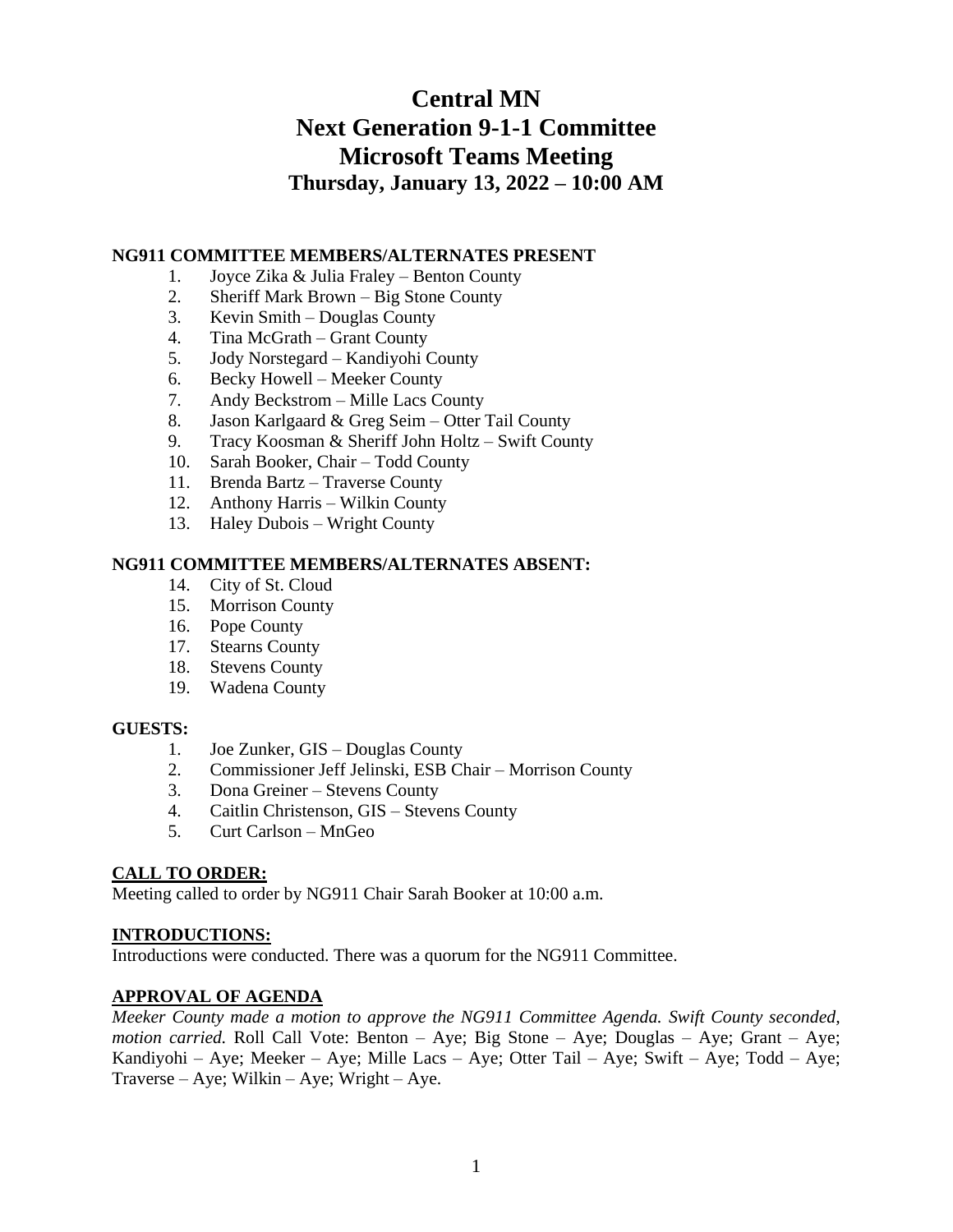# **Central MN Next Generation 9-1-1 Committee Microsoft Teams Meeting Thursday, January 13, 2022 – 10:00 AM**

## **NG911 COMMITTEE MEMBERS/ALTERNATES PRESENT**

- 1. Joyce Zika & Julia Fraley Benton County
- 2. Sheriff Mark Brown Big Stone County
- 3. Kevin Smith Douglas County
- 4. Tina McGrath Grant County
- 5. Jody Norstegard Kandiyohi County
- 6. Becky Howell Meeker County
- 7. Andy Beckstrom Mille Lacs County
- 8. Jason Karlgaard & Greg Seim Otter Tail County
- 9. Tracy Koosman & Sheriff John Holtz Swift County
- 10. Sarah Booker, Chair Todd County
- 11. Brenda Bartz Traverse County
- 12. Anthony Harris Wilkin County
- 13. Haley Dubois Wright County

## **NG911 COMMITTEE MEMBERS/ALTERNATES ABSENT:**

- 14. City of St. Cloud
- 15. Morrison County
- 16. Pope County
- 17. Stearns County
- 18. Stevens County
- 19. Wadena County

#### **GUESTS:**

- 1. Joe Zunker, GIS Douglas County
- 2. Commissioner Jeff Jelinski, ESB Chair Morrison County
- 3. Dona Greiner Stevens County
- 4. Caitlin Christenson, GIS Stevens County
- 5. Curt Carlson MnGeo

## **CALL TO ORDER:**

Meeting called to order by NG911 Chair Sarah Booker at 10:00 a.m.

## **INTRODUCTIONS:**

Introductions were conducted. There was a quorum for the NG911 Committee.

## **APPROVAL OF AGENDA**

*Meeker County made a motion to approve the NG911 Committee Agenda. Swift County seconded, motion carried.* Roll Call Vote: Benton – Aye; Big Stone – Aye; Douglas – Aye; Grant – Aye; Kandiyohi – Aye; Meeker – Aye; Mille Lacs – Aye; Otter Tail – Aye; Swift – Aye; Todd – Aye; Traverse – Aye; Wilkin – Aye; Wright – Aye.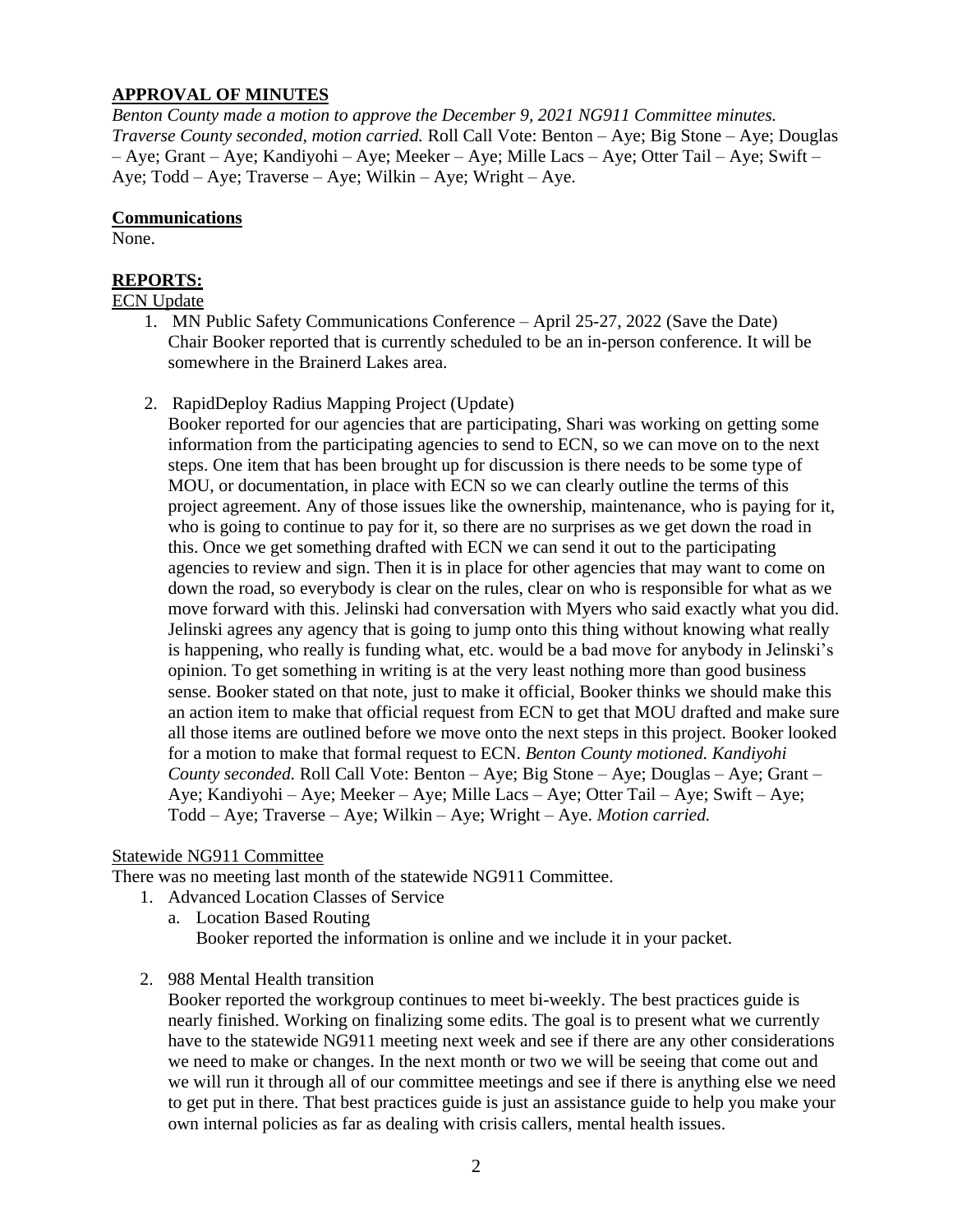# **APPROVAL OF MINUTES**

*Benton County made a motion to approve the December 9, 2021 NG911 Committee minutes. Traverse County seconded, motion carried.* Roll Call Vote: Benton – Aye; Big Stone – Aye; Douglas – Aye; Grant – Aye; Kandiyohi – Aye; Meeker – Aye; Mille Lacs – Aye; Otter Tail – Aye; Swift – Aye; Todd – Aye; Traverse – Aye; Wilkin – Aye; Wright – Aye.

#### **Communications**

None.

## **REPORTS:**

#### ECN Update

- 1. MN Public Safety Communications Conference April 25-27, 2022 (Save the Date) Chair Booker reported that is currently scheduled to be an in-person conference. It will be somewhere in the Brainerd Lakes area.
- 2. RapidDeploy Radius Mapping Project (Update)

Booker reported for our agencies that are participating, Shari was working on getting some information from the participating agencies to send to ECN, so we can move on to the next steps. One item that has been brought up for discussion is there needs to be some type of MOU, or documentation, in place with ECN so we can clearly outline the terms of this project agreement. Any of those issues like the ownership, maintenance, who is paying for it, who is going to continue to pay for it, so there are no surprises as we get down the road in this. Once we get something drafted with ECN we can send it out to the participating agencies to review and sign. Then it is in place for other agencies that may want to come on down the road, so everybody is clear on the rules, clear on who is responsible for what as we move forward with this. Jelinski had conversation with Myers who said exactly what you did. Jelinski agrees any agency that is going to jump onto this thing without knowing what really is happening, who really is funding what, etc. would be a bad move for anybody in Jelinski's opinion. To get something in writing is at the very least nothing more than good business sense. Booker stated on that note, just to make it official, Booker thinks we should make this an action item to make that official request from ECN to get that MOU drafted and make sure all those items are outlined before we move onto the next steps in this project. Booker looked for a motion to make that formal request to ECN. *Benton County motioned. Kandiyohi County seconded.* Roll Call Vote: Benton – Aye; Big Stone – Aye; Douglas – Aye; Grant – Aye; Kandiyohi – Aye; Meeker – Aye; Mille Lacs – Aye; Otter Tail – Aye; Swift – Aye; Todd – Aye; Traverse – Aye; Wilkin – Aye; Wright – Aye. *Motion carried.*

#### Statewide NG911 Committee

There was no meeting last month of the statewide NG911 Committee.

- 1. Advanced Location Classes of Service
	- a. Location Based Routing Booker reported the information is online and we include it in your packet.
- 2. 988 Mental Health transition

Booker reported the workgroup continues to meet bi-weekly. The best practices guide is nearly finished. Working on finalizing some edits. The goal is to present what we currently have to the statewide NG911 meeting next week and see if there are any other considerations we need to make or changes. In the next month or two we will be seeing that come out and we will run it through all of our committee meetings and see if there is anything else we need to get put in there. That best practices guide is just an assistance guide to help you make your own internal policies as far as dealing with crisis callers, mental health issues.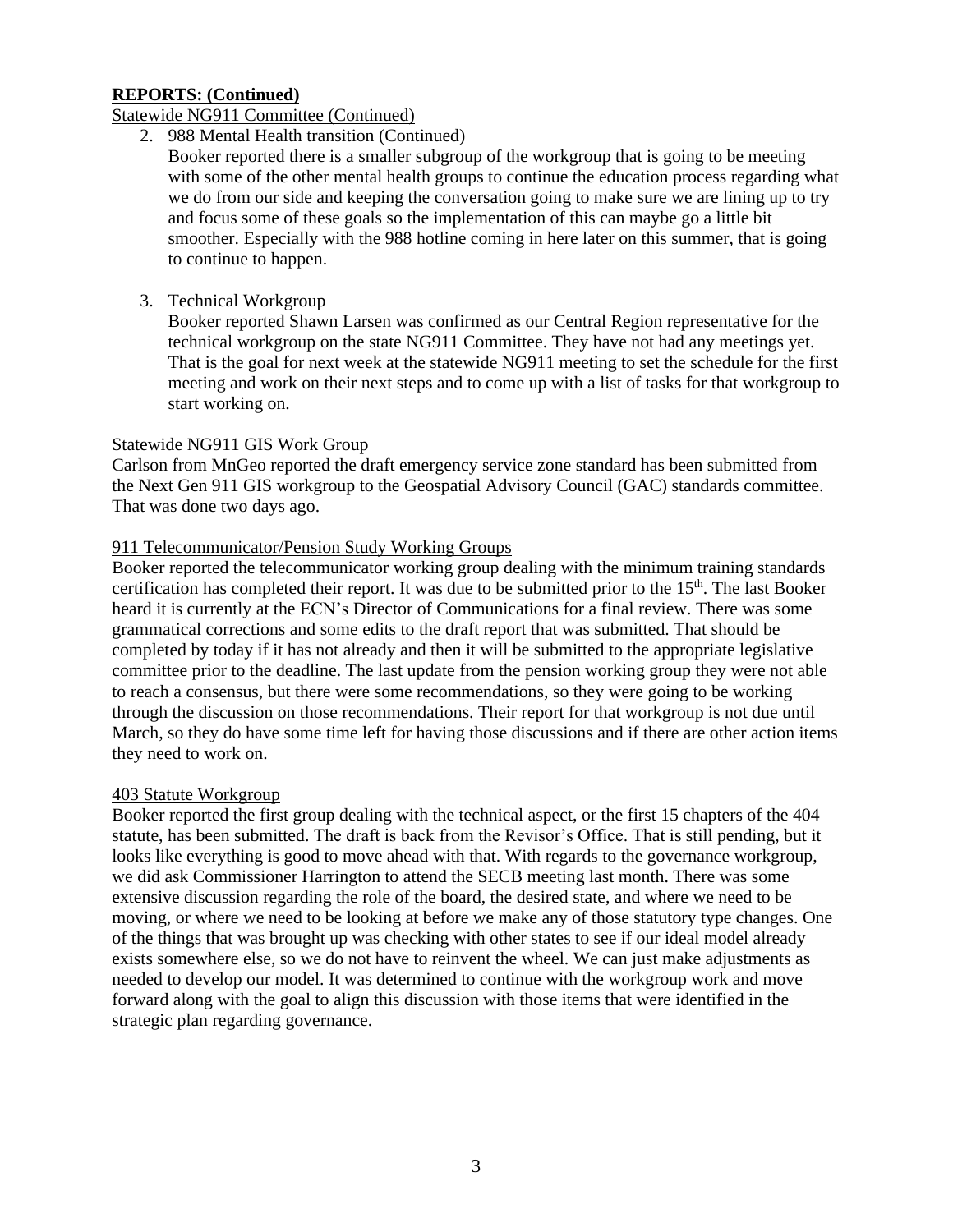## **REPORTS: (Continued)**

# Statewide NG911 Committee (Continued)

2. 988 Mental Health transition (Continued)

Booker reported there is a smaller subgroup of the workgroup that is going to be meeting with some of the other mental health groups to continue the education process regarding what we do from our side and keeping the conversation going to make sure we are lining up to try and focus some of these goals so the implementation of this can maybe go a little bit smoother. Especially with the 988 hotline coming in here later on this summer, that is going to continue to happen.

3. Technical Workgroup

Booker reported Shawn Larsen was confirmed as our Central Region representative for the technical workgroup on the state NG911 Committee. They have not had any meetings yet. That is the goal for next week at the statewide NG911 meeting to set the schedule for the first meeting and work on their next steps and to come up with a list of tasks for that workgroup to start working on.

## Statewide NG911 GIS Work Group

Carlson from MnGeo reported the draft emergency service zone standard has been submitted from the Next Gen 911 GIS workgroup to the Geospatial Advisory Council (GAC) standards committee. That was done two days ago.

## 911 Telecommunicator/Pension Study Working Groups

Booker reported the telecommunicator working group dealing with the minimum training standards certification has completed their report. It was due to be submitted prior to the 15<sup>th</sup>. The last Booker heard it is currently at the ECN's Director of Communications for a final review. There was some grammatical corrections and some edits to the draft report that was submitted. That should be completed by today if it has not already and then it will be submitted to the appropriate legislative committee prior to the deadline. The last update from the pension working group they were not able to reach a consensus, but there were some recommendations, so they were going to be working through the discussion on those recommendations. Their report for that workgroup is not due until March, so they do have some time left for having those discussions and if there are other action items they need to work on.

## 403 Statute Workgroup

Booker reported the first group dealing with the technical aspect, or the first 15 chapters of the 404 statute, has been submitted. The draft is back from the Revisor's Office. That is still pending, but it looks like everything is good to move ahead with that. With regards to the governance workgroup, we did ask Commissioner Harrington to attend the SECB meeting last month. There was some extensive discussion regarding the role of the board, the desired state, and where we need to be moving, or where we need to be looking at before we make any of those statutory type changes. One of the things that was brought up was checking with other states to see if our ideal model already exists somewhere else, so we do not have to reinvent the wheel. We can just make adjustments as needed to develop our model. It was determined to continue with the workgroup work and move forward along with the goal to align this discussion with those items that were identified in the strategic plan regarding governance.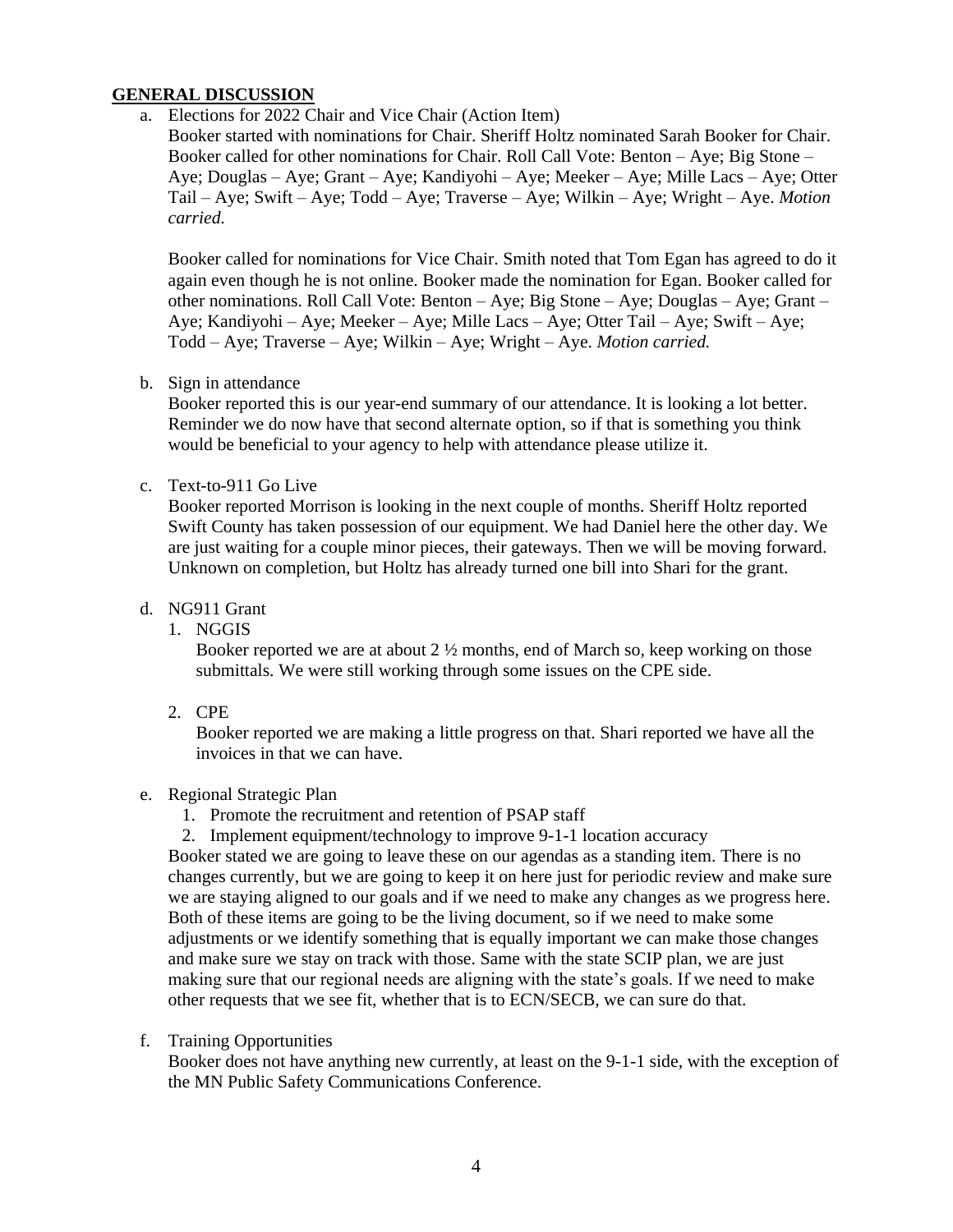#### **GENERAL DISCUSSION**

a. Elections for 2022 Chair and Vice Chair (Action Item)

Booker started with nominations for Chair. Sheriff Holtz nominated Sarah Booker for Chair. Booker called for other nominations for Chair. Roll Call Vote: Benton – Aye; Big Stone – Aye; Douglas – Aye; Grant – Aye; Kandiyohi – Aye; Meeker – Aye; Mille Lacs – Aye; Otter Tail – Aye; Swift – Aye; Todd – Aye; Traverse – Aye; Wilkin – Aye; Wright – Aye. *Motion carried.*

Booker called for nominations for Vice Chair. Smith noted that Tom Egan has agreed to do it again even though he is not online. Booker made the nomination for Egan. Booker called for other nominations. Roll Call Vote: Benton – Aye; Big Stone – Aye; Douglas – Aye; Grant – Aye; Kandiyohi – Aye; Meeker – Aye; Mille Lacs – Aye; Otter Tail – Aye; Swift – Aye; Todd – Aye; Traverse – Aye; Wilkin – Aye; Wright – Aye. *Motion carried.*

b. Sign in attendance

Booker reported this is our year-end summary of our attendance. It is looking a lot better. Reminder we do now have that second alternate option, so if that is something you think would be beneficial to your agency to help with attendance please utilize it.

c. Text-to-911 Go Live

Booker reported Morrison is looking in the next couple of months. Sheriff Holtz reported Swift County has taken possession of our equipment. We had Daniel here the other day. We are just waiting for a couple minor pieces, their gateways. Then we will be moving forward. Unknown on completion, but Holtz has already turned one bill into Shari for the grant.

#### d. NG911 Grant

1. NGGIS

Booker reported we are at about  $2\frac{1}{2}$  months, end of March so, keep working on those submittals. We were still working through some issues on the CPE side.

2. CPE

Booker reported we are making a little progress on that. Shari reported we have all the invoices in that we can have.

#### e. Regional Strategic Plan

- 1. Promote the recruitment and retention of PSAP staff
- 2. Implement equipment/technology to improve 9-1-1 location accuracy

Booker stated we are going to leave these on our agendas as a standing item. There is no changes currently, but we are going to keep it on here just for periodic review and make sure we are staying aligned to our goals and if we need to make any changes as we progress here. Both of these items are going to be the living document, so if we need to make some adjustments or we identify something that is equally important we can make those changes and make sure we stay on track with those. Same with the state SCIP plan, we are just making sure that our regional needs are aligning with the state's goals. If we need to make other requests that we see fit, whether that is to ECN/SECB, we can sure do that.

f. Training Opportunities

Booker does not have anything new currently, at least on the 9-1-1 side, with the exception of the MN Public Safety Communications Conference.